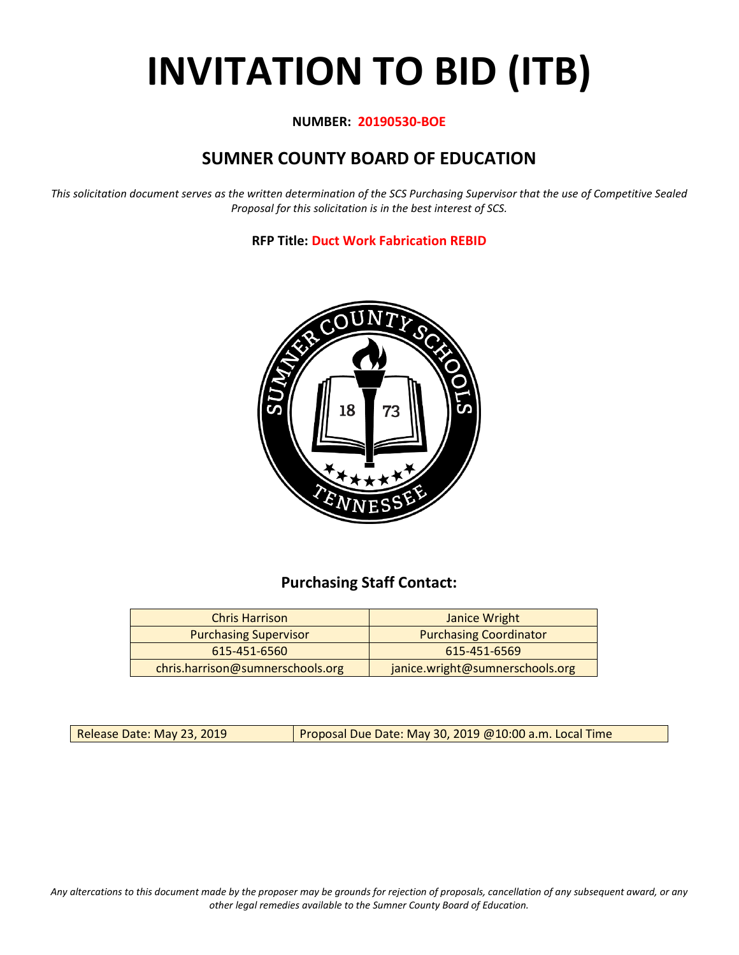# **INVITATION TO BID (ITB)**

## **NUMBER: 20190530-BOE**

# **SUMNER COUNTY BOARD OF EDUCATION**

*This solicitation document serves as the written determination of the SCS Purchasing Supervisor that the use of Competitive Sealed Proposal for this solicitation is in the best interest of SCS.*

**RFP Title: Duct Work Fabrication REBID**



# **Purchasing Staff Contact:**

| <b>Chris Harrison</b>            | Janice Wright                   |
|----------------------------------|---------------------------------|
| <b>Purchasing Supervisor</b>     | <b>Purchasing Coordinator</b>   |
| 615-451-6560                     | 615-451-6569                    |
| chris.harrison@sumnerschools.org | janice.wright@sumnerschools.org |

Release Date: May 23, 2019 | Proposal Due Date: May 30, 2019 @10:00 a.m. Local Time

*Any altercations to this document made by the proposer may be grounds for rejection of proposals, cancellation of any subsequent award, or any other legal remedies available to the Sumner County Board of Education.*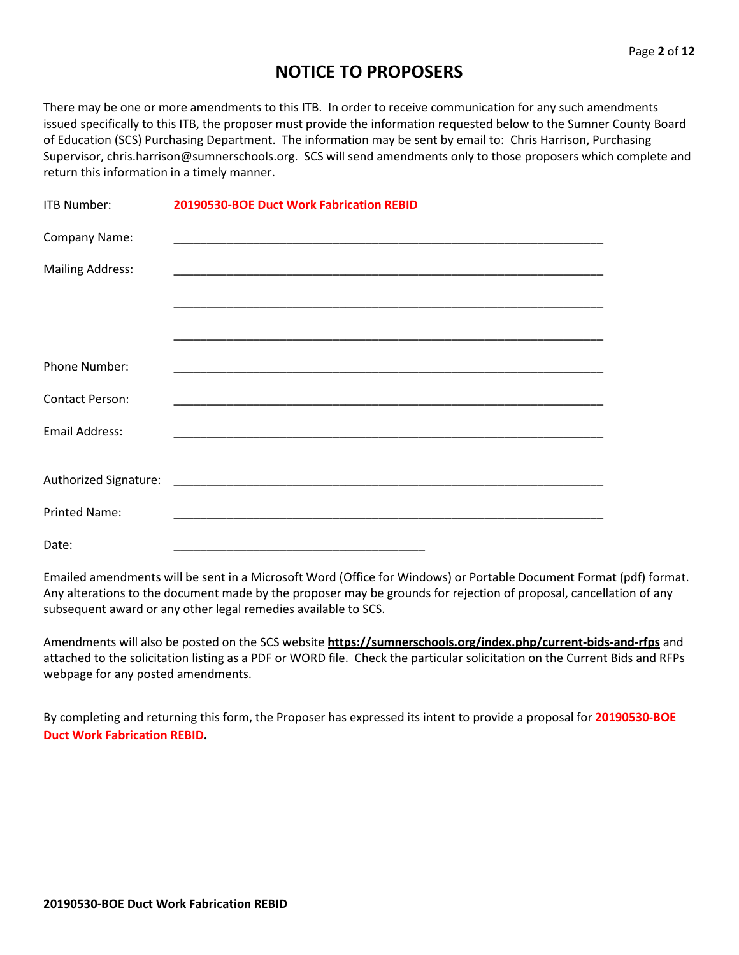# **NOTICE TO PROPOSERS**

There may be one or more amendments to this ITB. In order to receive communication for any such amendments issued specifically to this ITB, the proposer must provide the information requested below to the Sumner County Board of Education (SCS) Purchasing Department. The information may be sent by email to: Chris Harrison, Purchasing Supervisor, chris.harrison@sumnerschools.org. SCS will send amendments only to those proposers which complete and return this information in a timely manner.

| ITB Number:             | 20190530-BOE Duct Work Fabrication REBID                                                                              |  |
|-------------------------|-----------------------------------------------------------------------------------------------------------------------|--|
| Company Name:           |                                                                                                                       |  |
| <b>Mailing Address:</b> |                                                                                                                       |  |
|                         | <u> 1989 - Johann Harry Harry Harry Harry Harry Harry Harry Harry Harry Harry Harry Harry Harry Harry Harry Harry</u> |  |
|                         |                                                                                                                       |  |
| <b>Phone Number:</b>    |                                                                                                                       |  |
| <b>Contact Person:</b>  |                                                                                                                       |  |
| <b>Email Address:</b>   |                                                                                                                       |  |
|                         |                                                                                                                       |  |
| <b>Printed Name:</b>    |                                                                                                                       |  |
| Date:                   |                                                                                                                       |  |

Emailed amendments will be sent in a Microsoft Word (Office for Windows) or Portable Document Format (pdf) format. Any alterations to the document made by the proposer may be grounds for rejection of proposal, cancellation of any subsequent award or any other legal remedies available to SCS.

Amendments will also be posted on the SCS website **https://sumnerschools.org/index.php/current-bids-and-rfps** and attached to the solicitation listing as a PDF or WORD file. Check the particular solicitation on the Current Bids and RFPs webpage for any posted amendments.

By completing and returning this form, the Proposer has expressed its intent to provide a proposal for **20190530-BOE Duct Work Fabrication REBID.**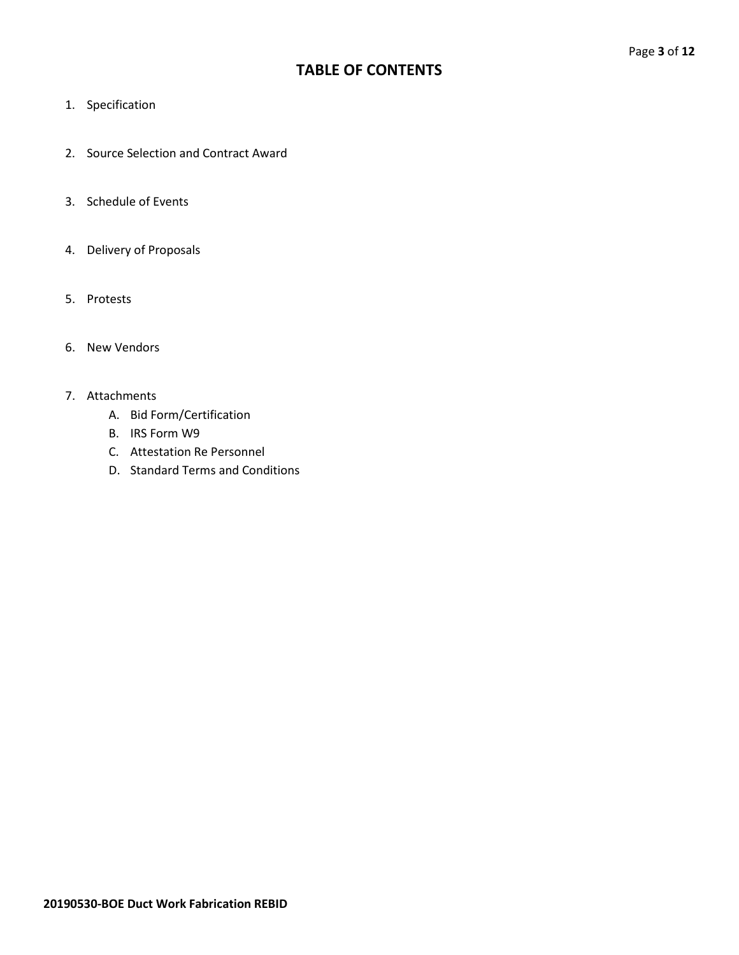## **TABLE OF CONTENTS**

- 1. Specification
- 2. Source Selection and Contract Award
- 3. Schedule of Events
- 4. Delivery of Proposals
- 5. Protests
- 6. New Vendors

## 7. Attachments

- A. Bid Form/Certification
- B. IRS Form W9
- C. Attestation Re Personnel
- D. Standard Terms and Conditions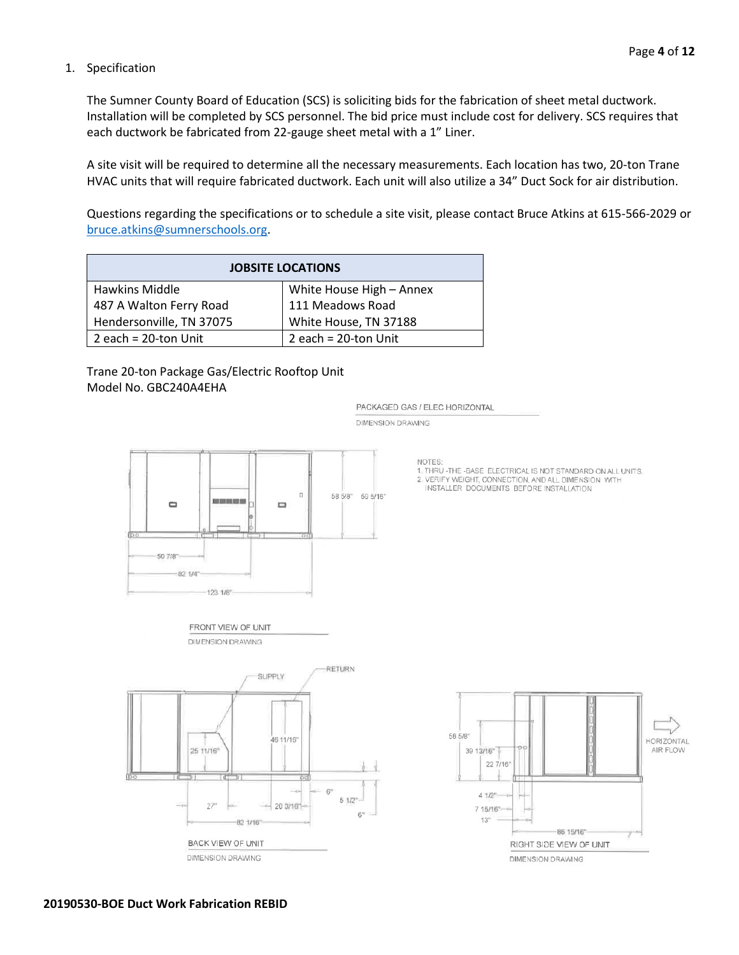#### 1. Specification

The Sumner County Board of Education (SCS) is soliciting bids for the fabrication of sheet metal ductwork. Installation will be completed by SCS personnel. The bid price must include cost for delivery. SCS requires that each ductwork be fabricated from 22-gauge sheet metal with a 1" Liner.

A site visit will be required to determine all the necessary measurements. Each location has two, 20-ton Trane HVAC units that will require fabricated ductwork. Each unit will also utilize a 34" Duct Sock for air distribution.

Questions regarding the specifications or to schedule a site visit, please contact Bruce Atkins at 615-566-2029 or [bruce.atkins@sumnerschools.org.](mailto:bruce.atkins@sumnerschools.org)

| <b>JOBSITE LOCATIONS</b> |                          |  |  |  |  |  |  |
|--------------------------|--------------------------|--|--|--|--|--|--|
| <b>Hawkins Middle</b>    | White House High - Annex |  |  |  |  |  |  |
| 487 A Walton Ferry Road  | 111 Meadows Road         |  |  |  |  |  |  |
| Hendersonville, TN 37075 | White House, TN 37188    |  |  |  |  |  |  |
| 2 each = 20-ton Unit     | 2 each = $20$ -ton Unit  |  |  |  |  |  |  |

Trane 20-ton Package Gas/Electric Rooftop Unit Model No. GBC240A4EHA



FRONT VIEW OF UNIT **DIMENSION DRAWING** 



58.5/8° HORIZONTAL AIR FLOW 39 13/15" 22 7/16 4.1/2"-7 15/16"  $13"$ 86 15/16" RIGHT SIDE VIEW OF UNIT DIMENSION DRAWING

PACKAGED GAS / ELEC HORIZONTAL

**DIMENSION DRAWING** 

**NOTES** 

ALTHRU-THE-BASE ELECTRICAL IS NOT STANDARD ON ALL UNITS<br>2. VERIFY WEIGHT, CONNECTION, AND ALL DIMENSION WITH<br>INSTALLER DOCUMENTS BEFORE INSTALLATION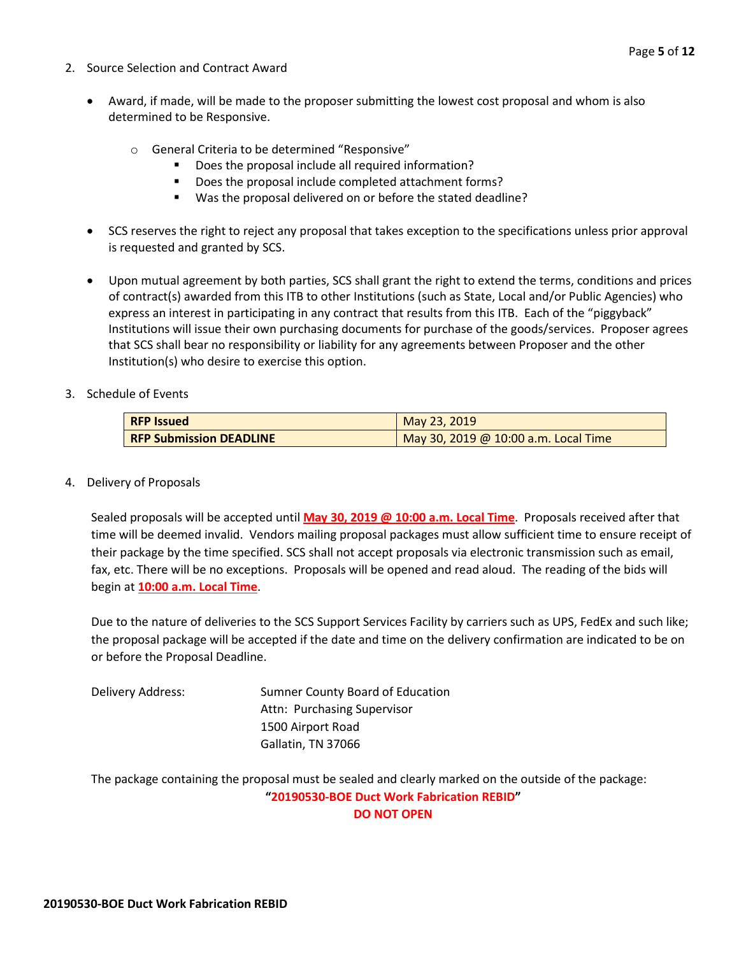- 2. Source Selection and Contract Award
	- Award, if made, will be made to the proposer submitting the lowest cost proposal and whom is also determined to be Responsive.
		- o General Criteria to be determined "Responsive"
			- **Does the proposal include all required information?**
			- Does the proposal include completed attachment forms?
			- Was the proposal delivered on or before the stated deadline?
	- SCS reserves the right to reject any proposal that takes exception to the specifications unless prior approval is requested and granted by SCS.
	- Upon mutual agreement by both parties, SCS shall grant the right to extend the terms, conditions and prices of contract(s) awarded from this ITB to other Institutions (such as State, Local and/or Public Agencies) who express an interest in participating in any contract that results from this ITB. Each of the "piggyback" Institutions will issue their own purchasing documents for purchase of the goods/services. Proposer agrees that SCS shall bear no responsibility or liability for any agreements between Proposer and the other Institution(s) who desire to exercise this option.
- 3. Schedule of Events

| <b>RFP Issued</b>              | May 23, 2019                         |
|--------------------------------|--------------------------------------|
| <b>RFP Submission DEADLINE</b> | May 30, 2019 @ 10:00 a.m. Local Time |

4. Delivery of Proposals

Sealed proposals will be accepted until **May 30, 2019 @ 10:00 a.m. Local Time**. Proposals received after that time will be deemed invalid. Vendors mailing proposal packages must allow sufficient time to ensure receipt of their package by the time specified. SCS shall not accept proposals via electronic transmission such as email, fax, etc. There will be no exceptions. Proposals will be opened and read aloud. The reading of the bids will begin at **10:00 a.m. Local Time**.

Due to the nature of deliveries to the SCS Support Services Facility by carriers such as UPS, FedEx and such like; the proposal package will be accepted if the date and time on the delivery confirmation are indicated to be on or before the Proposal Deadline.

| Delivery Address: | Sumner County Board of Education |
|-------------------|----------------------------------|
|                   | Attn: Purchasing Supervisor      |
|                   | 1500 Airport Road                |
|                   | Gallatin, TN 37066               |

The package containing the proposal must be sealed and clearly marked on the outside of the package: **"20190530-BOE Duct Work Fabrication REBID" DO NOT OPEN**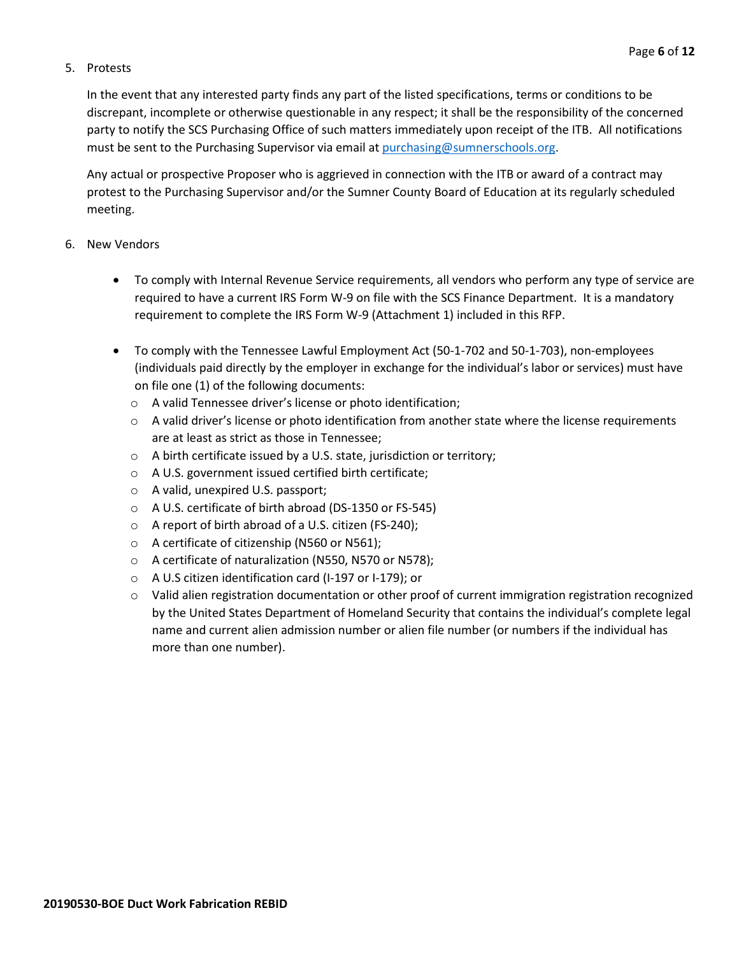## 5. Protests

In the event that any interested party finds any part of the listed specifications, terms or conditions to be discrepant, incomplete or otherwise questionable in any respect; it shall be the responsibility of the concerned party to notify the SCS Purchasing Office of such matters immediately upon receipt of the ITB. All notifications must be sent to the Purchasing Supervisor via email at [purchasing@sumnerschools.org.](mailto:purchasing@sumnerschools.org)

Any actual or prospective Proposer who is aggrieved in connection with the ITB or award of a contract may protest to the Purchasing Supervisor and/or the Sumner County Board of Education at its regularly scheduled meeting.

### 6. New Vendors

- To comply with Internal Revenue Service requirements, all vendors who perform any type of service are required to have a current IRS Form W-9 on file with the SCS Finance Department. It is a mandatory requirement to complete the IRS Form W-9 (Attachment 1) included in this RFP.
- To comply with the Tennessee Lawful Employment Act (50-1-702 and 50-1-703), non-employees (individuals paid directly by the employer in exchange for the individual's labor or services) must have on file one (1) of the following documents:
	- o A valid Tennessee driver's license or photo identification;
	- $\circ$  A valid driver's license or photo identification from another state where the license requirements are at least as strict as those in Tennessee;
	- o A birth certificate issued by a U.S. state, jurisdiction or territory;
	- o A U.S. government issued certified birth certificate;
	- o A valid, unexpired U.S. passport;
	- o A U.S. certificate of birth abroad (DS-1350 or FS-545)
	- o A report of birth abroad of a U.S. citizen (FS-240);
	- o A certificate of citizenship (N560 or N561);
	- o A certificate of naturalization (N550, N570 or N578);
	- o A U.S citizen identification card (I-197 or I-179); or
	- o Valid alien registration documentation or other proof of current immigration registration recognized by the United States Department of Homeland Security that contains the individual's complete legal name and current alien admission number or alien file number (or numbers if the individual has more than one number).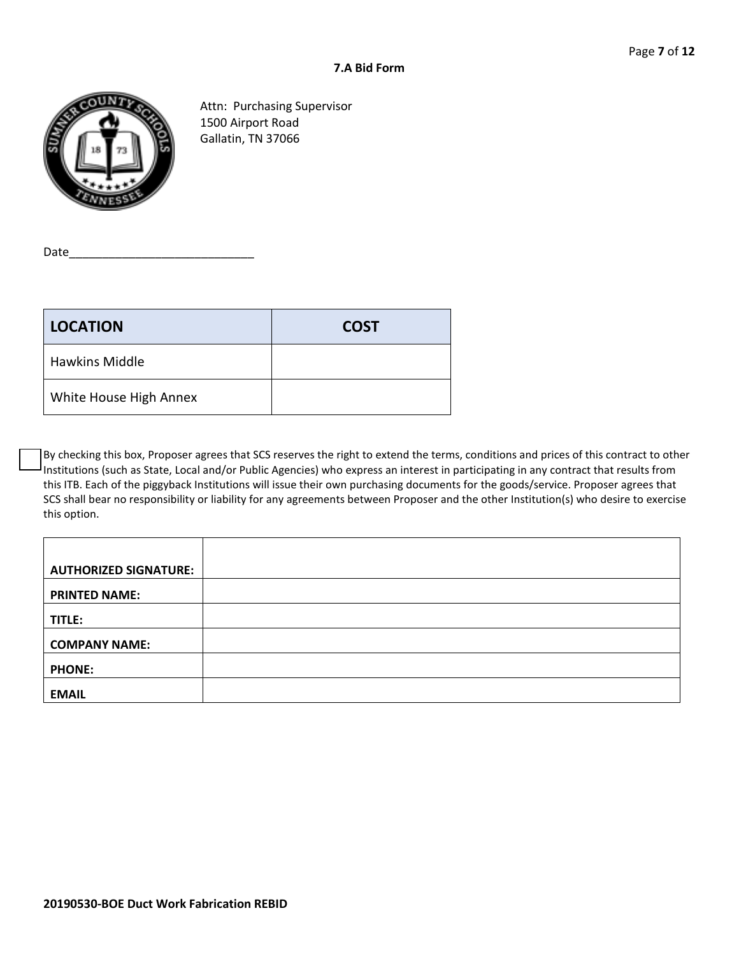

Attn: Purchasing Supervisor 1500 Airport Road Gallatin, TN 37066

Date\_\_\_\_\_\_\_\_\_\_\_\_\_\_\_\_\_\_\_\_\_\_\_\_\_\_\_\_

| <b>LOCATION</b>        | <b>COST</b> |
|------------------------|-------------|
| <b>Hawkins Middle</b>  |             |
| White House High Annex |             |

By checking this box, Proposer agrees that SCS reserves the right to extend the terms, conditions and prices of this contract to other Institutions (such as State, Local and/or Public Agencies) who express an interest in participating in any contract that results from this ITB. Each of the piggyback Institutions will issue their own purchasing documents for the goods/service. Proposer agrees that SCS shall bear no responsibility or liability for any agreements between Proposer and the other Institution(s) who desire to exercise this option.

| <b>AUTHORIZED SIGNATURE:</b> |  |
|------------------------------|--|
| <b>PRINTED NAME:</b>         |  |
| TITLE:                       |  |
| <b>COMPANY NAME:</b>         |  |
| <b>PHONE:</b>                |  |
| <b>EMAIL</b>                 |  |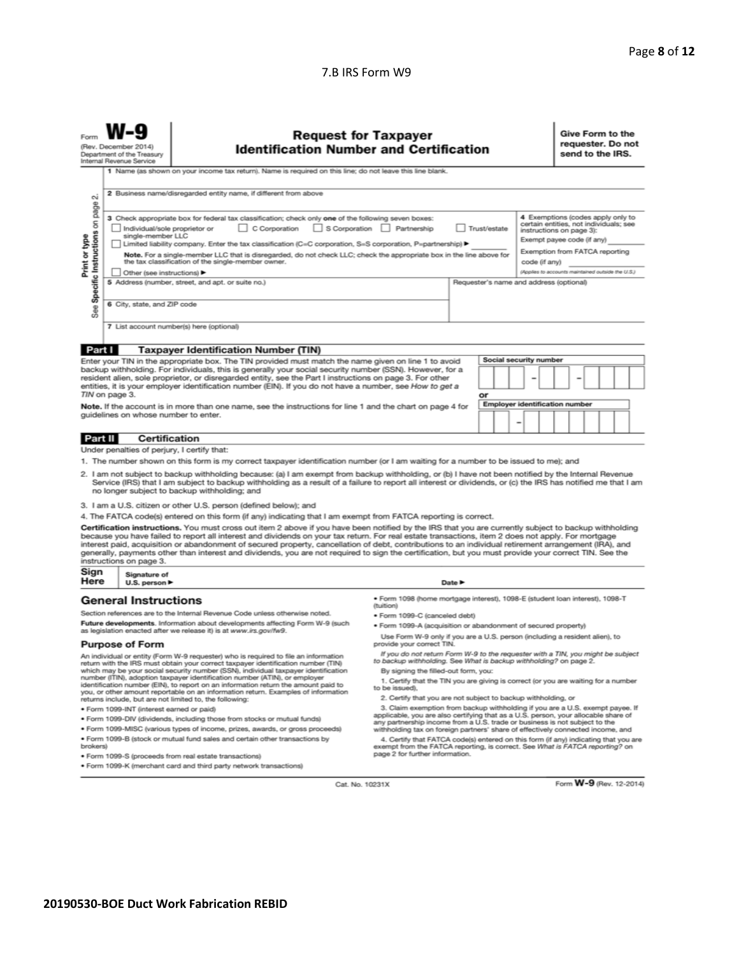#### 7.B IRS Form W9

|                                                                                                                                                                                                                                                                                                                                                                                                                                                                                                                                                                                                                                                                                                                                                                     | (Rev. December 2014)<br>Department of the Treasury<br>Internal Revenue Service                                            | <b>Request for Taxpayer</b><br><b>Identification Number and Certification</b>                                                                                    |                                                                                                                            |                                         |    |  |  |                                                   |  | Give Form to the<br>requester. Do not<br>send to the IRS. |  |  |  |  |
|---------------------------------------------------------------------------------------------------------------------------------------------------------------------------------------------------------------------------------------------------------------------------------------------------------------------------------------------------------------------------------------------------------------------------------------------------------------------------------------------------------------------------------------------------------------------------------------------------------------------------------------------------------------------------------------------------------------------------------------------------------------------|---------------------------------------------------------------------------------------------------------------------------|------------------------------------------------------------------------------------------------------------------------------------------------------------------|----------------------------------------------------------------------------------------------------------------------------|-----------------------------------------|----|--|--|---------------------------------------------------|--|-----------------------------------------------------------|--|--|--|--|
|                                                                                                                                                                                                                                                                                                                                                                                                                                                                                                                                                                                                                                                                                                                                                                     |                                                                                                                           | 1 Name (as shown on your income tax return). Name is required on this line; do not leave this line blank.                                                        |                                                                                                                            |                                         |    |  |  |                                                   |  |                                                           |  |  |  |  |
| σû                                                                                                                                                                                                                                                                                                                                                                                                                                                                                                                                                                                                                                                                                                                                                                  |                                                                                                                           | 2 Business name/disregarded entity name, if different from above                                                                                                 |                                                                                                                            |                                         |    |  |  |                                                   |  |                                                           |  |  |  |  |
| Specific Instructions on page<br>4 Exemptions (codes apply only to<br>3 Check appropriate box for federal tax classification; check only one of the following seven boxes:<br>certain entities, not individuals; see<br>S Corporation Partnership<br>C Corporation<br>Trust/estate<br>Individual/sole proprietor or<br>instructions on page 3):<br>single-member LLC<br>Print or type<br>Exempt payee code (if any)<br>Limited liability company. Enter the tax classification (C=C corporation, S=S corporation, P=partnership) ▶<br>Exemption from FATCA reporting<br>Note. For a single-member LLC that is disregarded, do not check LLC; check the appropriate box in the line above for<br>the tax classification of the single-member owner.<br>code (if any) |                                                                                                                           |                                                                                                                                                                  |                                                                                                                            |                                         |    |  |  |                                                   |  |                                                           |  |  |  |  |
|                                                                                                                                                                                                                                                                                                                                                                                                                                                                                                                                                                                                                                                                                                                                                                     | Other (see instructions)                                                                                                  | 5 Address (number, street, and apt. or suite no.)                                                                                                                |                                                                                                                            | Requester's name and address (optional) |    |  |  | (Applies to accounts maintained outside the U.S.) |  |                                                           |  |  |  |  |
|                                                                                                                                                                                                                                                                                                                                                                                                                                                                                                                                                                                                                                                                                                                                                                     |                                                                                                                           |                                                                                                                                                                  |                                                                                                                            |                                         |    |  |  |                                                   |  |                                                           |  |  |  |  |
| See                                                                                                                                                                                                                                                                                                                                                                                                                                                                                                                                                                                                                                                                                                                                                                 | 6 City, state, and ZIP code                                                                                               |                                                                                                                                                                  |                                                                                                                            |                                         |    |  |  |                                                   |  |                                                           |  |  |  |  |
|                                                                                                                                                                                                                                                                                                                                                                                                                                                                                                                                                                                                                                                                                                                                                                     |                                                                                                                           | 7 List account number(s) here (optional)                                                                                                                         |                                                                                                                            |                                         |    |  |  |                                                   |  |                                                           |  |  |  |  |
| Part I                                                                                                                                                                                                                                                                                                                                                                                                                                                                                                                                                                                                                                                                                                                                                              |                                                                                                                           | <b>Taxpayer Identification Number (TIN)</b>                                                                                                                      |                                                                                                                            |                                         |    |  |  |                                                   |  |                                                           |  |  |  |  |
|                                                                                                                                                                                                                                                                                                                                                                                                                                                                                                                                                                                                                                                                                                                                                                     |                                                                                                                           | Enter your TIN in the appropriate box. The TIN provided must match the name given on line 1 to avoid                                                             |                                                                                                                            |                                         |    |  |  | Social security number                            |  |                                                           |  |  |  |  |
|                                                                                                                                                                                                                                                                                                                                                                                                                                                                                                                                                                                                                                                                                                                                                                     |                                                                                                                           | backup withholding. For individuals, this is generally your social security number (SSN). However, for a                                                         |                                                                                                                            |                                         |    |  |  |                                                   |  |                                                           |  |  |  |  |
|                                                                                                                                                                                                                                                                                                                                                                                                                                                                                                                                                                                                                                                                                                                                                                     |                                                                                                                           | resident alien, sole proprietor, or disregarded entity, see the Part I instructions on page 3. For other                                                         |                                                                                                                            |                                         |    |  |  |                                                   |  |                                                           |  |  |  |  |
|                                                                                                                                                                                                                                                                                                                                                                                                                                                                                                                                                                                                                                                                                                                                                                     | TIN on page 3.                                                                                                            | entities, it is your employer identification number (EIN). If you do not have a number, see How to get a                                                         |                                                                                                                            |                                         | or |  |  |                                                   |  |                                                           |  |  |  |  |
|                                                                                                                                                                                                                                                                                                                                                                                                                                                                                                                                                                                                                                                                                                                                                                     |                                                                                                                           |                                                                                                                                                                  |                                                                                                                            |                                         |    |  |  |                                                   |  |                                                           |  |  |  |  |
| <b>Employer identification number</b><br>Note. If the account is in more than one name, see the instructions for line 1 and the chart on page 4 for<br>guidelines on whose number to enter.                                                                                                                                                                                                                                                                                                                                                                                                                                                                                                                                                                         |                                                                                                                           |                                                                                                                                                                  |                                                                                                                            |                                         |    |  |  |                                                   |  |                                                           |  |  |  |  |
|                                                                                                                                                                                                                                                                                                                                                                                                                                                                                                                                                                                                                                                                                                                                                                     |                                                                                                                           |                                                                                                                                                                  |                                                                                                                            |                                         |    |  |  |                                                   |  |                                                           |  |  |  |  |
| <b>Certification</b><br>Part II                                                                                                                                                                                                                                                                                                                                                                                                                                                                                                                                                                                                                                                                                                                                     |                                                                                                                           |                                                                                                                                                                  |                                                                                                                            |                                         |    |  |  |                                                   |  |                                                           |  |  |  |  |
|                                                                                                                                                                                                                                                                                                                                                                                                                                                                                                                                                                                                                                                                                                                                                                     | Under penalties of perjury, I certify that:                                                                               |                                                                                                                                                                  |                                                                                                                            |                                         |    |  |  |                                                   |  |                                                           |  |  |  |  |
|                                                                                                                                                                                                                                                                                                                                                                                                                                                                                                                                                                                                                                                                                                                                                                     |                                                                                                                           | 1. The number shown on this form is my correct taxpayer identification number (or I am waiting for a number to be issued to me); and                             |                                                                                                                            |                                         |    |  |  |                                                   |  |                                                           |  |  |  |  |
| 2. I am not subject to backup withholding because: (a) I am exempt from backup withholding, or (b) I have not been notified by the Internal Revenue<br>Service (IRS) that I am subject to backup withholding as a result of a failure to report all interest or dividends, or (c) the IRS has notified me that I am<br>no longer subject to backup withholding; and                                                                                                                                                                                                                                                                                                                                                                                                 |                                                                                                                           |                                                                                                                                                                  |                                                                                                                            |                                         |    |  |  |                                                   |  |                                                           |  |  |  |  |
| 3. I am a U.S. citizen or other U.S. person (defined below); and                                                                                                                                                                                                                                                                                                                                                                                                                                                                                                                                                                                                                                                                                                    |                                                                                                                           |                                                                                                                                                                  |                                                                                                                            |                                         |    |  |  |                                                   |  |                                                           |  |  |  |  |
| 4. The FATCA code(s) entered on this form (if any) indicating that I am exempt from FATCA reporting is correct.                                                                                                                                                                                                                                                                                                                                                                                                                                                                                                                                                                                                                                                     |                                                                                                                           |                                                                                                                                                                  |                                                                                                                            |                                         |    |  |  |                                                   |  |                                                           |  |  |  |  |
| Certification instructions. You must cross out item 2 above if you have been notified by the IRS that you are currently subject to backup withholding<br>because you have failed to report all interest and dividends on your tax return. For real estate transactions, item 2 does not apply. For mortgage<br>interest paid, acquisition or abandonment of secured property, cancellation of debt, contributions to an individual retirement arrangement (IRA), and<br>generally, payments other than interest and dividends, you are not required to sign the certification, but you must provide your correct TIN. See the<br>instructions on page 3.                                                                                                            |                                                                                                                           |                                                                                                                                                                  |                                                                                                                            |                                         |    |  |  |                                                   |  |                                                           |  |  |  |  |
| Sign<br>Here                                                                                                                                                                                                                                                                                                                                                                                                                                                                                                                                                                                                                                                                                                                                                        | Signature of<br>U.S. person $\blacktriangleright$                                                                         |                                                                                                                                                                  |                                                                                                                            | Date P                                  |    |  |  |                                                   |  |                                                           |  |  |  |  |
|                                                                                                                                                                                                                                                                                                                                                                                                                                                                                                                                                                                                                                                                                                                                                                     | · Form 1098 (home mortgage interest), 1098-E (student Ioan interest), 1098-T<br><b>General Instructions</b>               |                                                                                                                                                                  |                                                                                                                            |                                         |    |  |  |                                                   |  |                                                           |  |  |  |  |
|                                                                                                                                                                                                                                                                                                                                                                                                                                                                                                                                                                                                                                                                                                                                                                     | (fulfion)<br>Section references are to the Internal Revenue Code unless otherwise noted.<br>· Form 1099-C (canceled debt) |                                                                                                                                                                  |                                                                                                                            |                                         |    |  |  |                                                   |  |                                                           |  |  |  |  |
|                                                                                                                                                                                                                                                                                                                                                                                                                                                                                                                                                                                                                                                                                                                                                                     |                                                                                                                           | Future developments. Information about developments affecting Form W-9 (such                                                                                     | . Form 1099-A (acquisition or abandonment of secured property)                                                             |                                         |    |  |  |                                                   |  |                                                           |  |  |  |  |
|                                                                                                                                                                                                                                                                                                                                                                                                                                                                                                                                                                                                                                                                                                                                                                     | <b>Purpose of Form</b>                                                                                                    | as legislation enacted after we release it) is at www.irs.gov/fw9.                                                                                               | Use Form W-9 only if you are a U.S. person (including a resident alien), to<br>provide your correct TIN.                   |                                         |    |  |  |                                                   |  |                                                           |  |  |  |  |
|                                                                                                                                                                                                                                                                                                                                                                                                                                                                                                                                                                                                                                                                                                                                                                     |                                                                                                                           | An individual or entity (Form W-9 requester) who is required to file an information                                                                              | If you do not return Form W-9 to the requester with a TIN, you might be subject                                            |                                         |    |  |  |                                                   |  |                                                           |  |  |  |  |
|                                                                                                                                                                                                                                                                                                                                                                                                                                                                                                                                                                                                                                                                                                                                                                     |                                                                                                                           | return with the IRS must obtain your correct taxpayer identification number (TIN)                                                                                | to backup withholding. See What is backup withholding? on page 2.                                                          |                                         |    |  |  |                                                   |  |                                                           |  |  |  |  |
|                                                                                                                                                                                                                                                                                                                                                                                                                                                                                                                                                                                                                                                                                                                                                                     |                                                                                                                           | which may be your social security number (SSN), individual taxpayer identification<br>number (ITIN), adoption taxpayer identification number (ATIN), or employer | By signing the filled-out form, you:<br>1. Certify that the TIN you are giving is correct (or you are waiting for a number |                                         |    |  |  |                                                   |  |                                                           |  |  |  |  |
|                                                                                                                                                                                                                                                                                                                                                                                                                                                                                                                                                                                                                                                                                                                                                                     |                                                                                                                           | identification number (EIN), to report on an information return the amount paid to                                                                               | to be issued).                                                                                                             |                                         |    |  |  |                                                   |  |                                                           |  |  |  |  |
|                                                                                                                                                                                                                                                                                                                                                                                                                                                                                                                                                                                                                                                                                                                                                                     |                                                                                                                           | you, or other amount reportable on an information return. Examples of information<br>returns include, but are not limited to, the following:                     | 2. Certify that you are not subject to backup withholding, or                                                              |                                         |    |  |  |                                                   |  |                                                           |  |  |  |  |

- · Form 1099-INT (interest earned or paid)
- . Form 1099-DIV (dividends, including those from stocks or mutual funds)
- · Form 1099-MISC (various types of income, prizes, awards, or gross proceeds)
- . Form 1099-B (stock or mutual fund sales and certain other transactions by brokers)
- · Form 1099-S (proceeds from real estate transactions)
- . Form 1099-K (merchant card and third party network transactions)
- 
- 2. Certify that you are not subject to backup withholding, or<br>3. Claim exemption from backup withholding if you are a U.S. exempt payee. If<br>applicable, you are also certifying that as a U.S. person, your allocable share of
- 4. Certify that FATCA code(s) entered on this form (if any) indicating that you are<br>exempt from the FATCA reporting, is correct. See What is FATCA reporting? on<br>page 2 for further information.

Cat. No. 10231X

Form W-9 (Rev. 12-2014)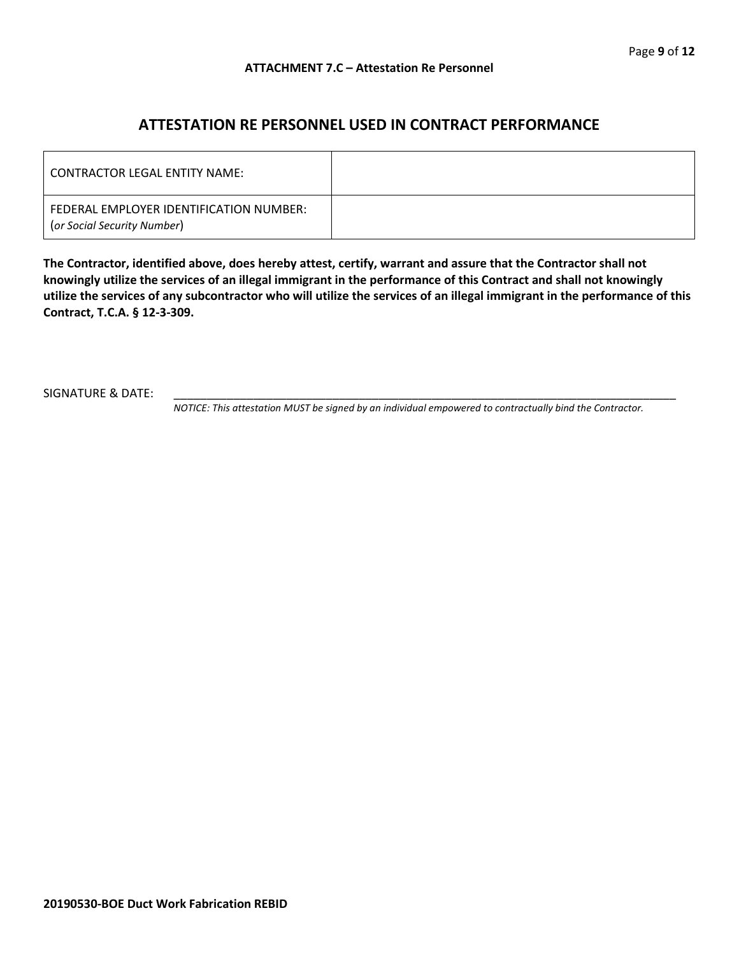## **ATTESTATION RE PERSONNEL USED IN CONTRACT PERFORMANCE**

| LCONTRACTOR LEGAL ENTITY NAME:                                         |  |
|------------------------------------------------------------------------|--|
| FEDERAL EMPLOYER IDENTIFICATION NUMBER:<br>(or Social Security Number) |  |

**The Contractor, identified above, does hereby attest, certify, warrant and assure that the Contractor shall not knowingly utilize the services of an illegal immigrant in the performance of this Contract and shall not knowingly utilize the services of any subcontractor who will utilize the services of an illegal immigrant in the performance of this Contract, T.C.A. § 12-3-309.**

SIGNATURE & DATE:

*NOTICE: This attestation MUST be signed by an individual empowered to contractually bind the Contractor.*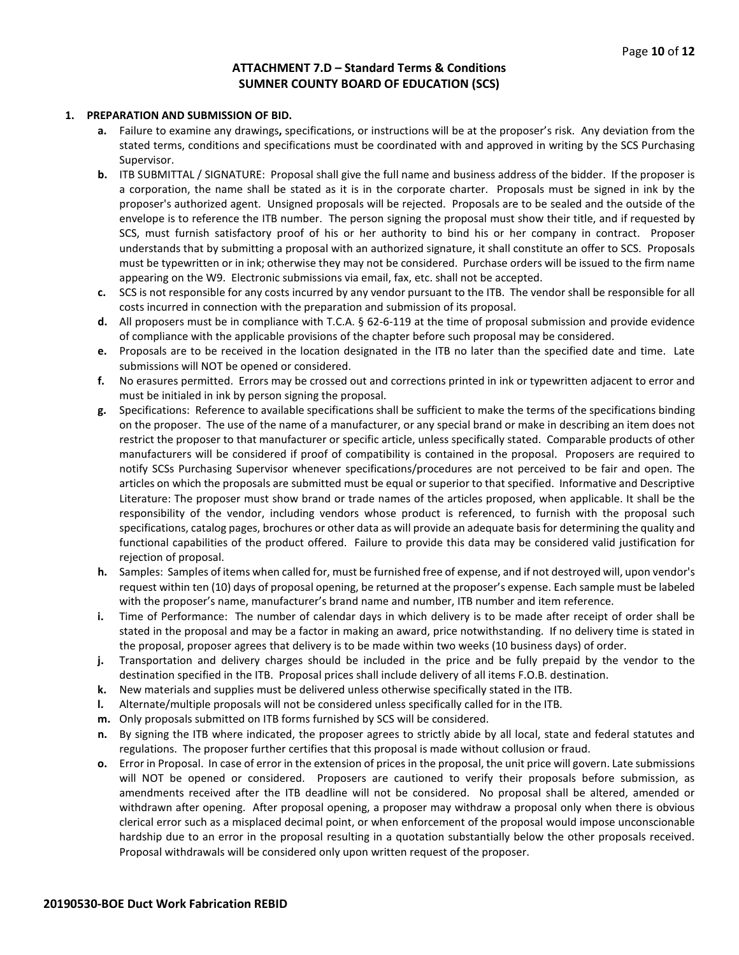#### **ATTACHMENT 7.D – Standard Terms & Conditions SUMNER COUNTY BOARD OF EDUCATION (SCS)**

#### **1. PREPARATION AND SUBMISSION OF BID.**

- **a.** Failure to examine any drawings**,** specifications, or instructions will be at the proposer's risk. Any deviation from the stated terms, conditions and specifications must be coordinated with and approved in writing by the SCS Purchasing Supervisor.
- **b.** ITB SUBMITTAL / SIGNATURE: Proposal shall give the full name and business address of the bidder. If the proposer is a corporation, the name shall be stated as it is in the corporate charter. Proposals must be signed in ink by the proposer's authorized agent. Unsigned proposals will be rejected. Proposals are to be sealed and the outside of the envelope is to reference the ITB number. The person signing the proposal must show their title, and if requested by SCS, must furnish satisfactory proof of his or her authority to bind his or her company in contract. Proposer understands that by submitting a proposal with an authorized signature, it shall constitute an offer to SCS. Proposals must be typewritten or in ink; otherwise they may not be considered. Purchase orders will be issued to the firm name appearing on the W9. Electronic submissions via email, fax, etc. shall not be accepted.
- **c.** SCS is not responsible for any costs incurred by any vendor pursuant to the ITB. The vendor shall be responsible for all costs incurred in connection with the preparation and submission of its proposal.
- **d.** All proposers must be in compliance with T.C.A. § 62-6-119 at the time of proposal submission and provide evidence of compliance with the applicable provisions of the chapter before such proposal may be considered.
- **e.** Proposals are to be received in the location designated in the ITB no later than the specified date and time. Late submissions will NOT be opened or considered.
- **f.** No erasures permitted. Errors may be crossed out and corrections printed in ink or typewritten adjacent to error and must be initialed in ink by person signing the proposal.
- **g.** Specifications: Reference to available specifications shall be sufficient to make the terms of the specifications binding on the proposer. The use of the name of a manufacturer, or any special brand or make in describing an item does not restrict the proposer to that manufacturer or specific article, unless specifically stated. Comparable products of other manufacturers will be considered if proof of compatibility is contained in the proposal. Proposers are required to notify SCSs Purchasing Supervisor whenever specifications/procedures are not perceived to be fair and open. The articles on which the proposals are submitted must be equal or superior to that specified. Informative and Descriptive Literature: The proposer must show brand or trade names of the articles proposed, when applicable. It shall be the responsibility of the vendor, including vendors whose product is referenced, to furnish with the proposal such specifications, catalog pages, brochures or other data as will provide an adequate basis for determining the quality and functional capabilities of the product offered. Failure to provide this data may be considered valid justification for rejection of proposal.
- **h.** Samples: Samples of items when called for, must be furnished free of expense, and if not destroyed will, upon vendor's request within ten (10) days of proposal opening, be returned at the proposer's expense. Each sample must be labeled with the proposer's name, manufacturer's brand name and number, ITB number and item reference.
- **i.** Time of Performance: The number of calendar days in which delivery is to be made after receipt of order shall be stated in the proposal and may be a factor in making an award, price notwithstanding. If no delivery time is stated in the proposal, proposer agrees that delivery is to be made within two weeks (10 business days) of order.
- **j.** Transportation and delivery charges should be included in the price and be fully prepaid by the vendor to the destination specified in the ITB. Proposal prices shall include delivery of all items F.O.B. destination.
- **k.** New materials and supplies must be delivered unless otherwise specifically stated in the ITB.
- **l.** Alternate/multiple proposals will not be considered unless specifically called for in the ITB.
- **m.** Only proposals submitted on ITB forms furnished by SCS will be considered.
- **n.** By signing the ITB where indicated, the proposer agrees to strictly abide by all local, state and federal statutes and regulations. The proposer further certifies that this proposal is made without collusion or fraud.
- **o.** Error in Proposal. In case of error in the extension of prices in the proposal, the unit price will govern. Late submissions will NOT be opened or considered. Proposers are cautioned to verify their proposals before submission, as amendments received after the ITB deadline will not be considered. No proposal shall be altered, amended or withdrawn after opening. After proposal opening, a proposer may withdraw a proposal only when there is obvious clerical error such as a misplaced decimal point, or when enforcement of the proposal would impose unconscionable hardship due to an error in the proposal resulting in a quotation substantially below the other proposals received. Proposal withdrawals will be considered only upon written request of the proposer.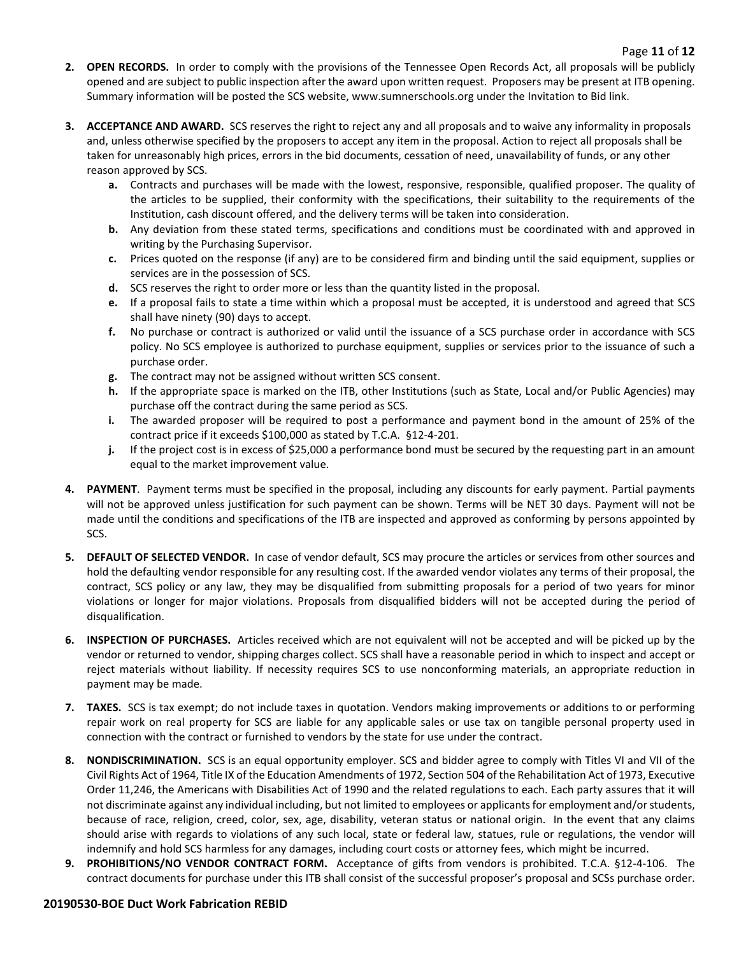- **2. OPEN RECORDS.** In order to comply with the provisions of the Tennessee Open Records Act, all proposals will be publicly opened and are subject to public inspection after the award upon written request. Proposers may be present at ITB opening. Summary information will be posted the SCS website, www.sumnerschools.org under the Invitation to Bid link.
- **3. ACCEPTANCE AND AWARD.** SCS reserves the right to reject any and all proposals and to waive any informality in proposals and, unless otherwise specified by the proposers to accept any item in the proposal. Action to reject all proposals shall be taken for unreasonably high prices, errors in the bid documents, cessation of need, unavailability of funds, or any other reason approved by SCS.
	- **a.** Contracts and purchases will be made with the lowest, responsive, responsible, qualified proposer. The quality of the articles to be supplied, their conformity with the specifications, their suitability to the requirements of the Institution, cash discount offered, and the delivery terms will be taken into consideration.
	- **b.** Any deviation from these stated terms, specifications and conditions must be coordinated with and approved in writing by the Purchasing Supervisor.
	- **c.** Prices quoted on the response (if any) are to be considered firm and binding until the said equipment, supplies or services are in the possession of SCS.
	- **d.** SCS reserves the right to order more or less than the quantity listed in the proposal.
	- **e.** If a proposal fails to state a time within which a proposal must be accepted, it is understood and agreed that SCS shall have ninety (90) days to accept.
	- **f.** No purchase or contract is authorized or valid until the issuance of a SCS purchase order in accordance with SCS policy. No SCS employee is authorized to purchase equipment, supplies or services prior to the issuance of such a purchase order.
	- **g.** The contract may not be assigned without written SCS consent.
	- **h.** If the appropriate space is marked on the ITB, other Institutions (such as State, Local and/or Public Agencies) may purchase off the contract during the same period as SCS.
	- **i.** The awarded proposer will be required to post a performance and payment bond in the amount of 25% of the contract price if it exceeds \$100,000 as stated by T.C.A. §12-4-201.
	- **j.** If the project cost is in excess of \$25,000 a performance bond must be secured by the requesting part in an amount equal to the market improvement value.
- **4. PAYMENT**. Payment terms must be specified in the proposal, including any discounts for early payment. Partial payments will not be approved unless justification for such payment can be shown. Terms will be NET 30 days. Payment will not be made until the conditions and specifications of the ITB are inspected and approved as conforming by persons appointed by SCS.
- **5. DEFAULT OF SELECTED VENDOR.** In case of vendor default, SCS may procure the articles or services from other sources and hold the defaulting vendor responsible for any resulting cost. If the awarded vendor violates any terms of their proposal, the contract, SCS policy or any law, they may be disqualified from submitting proposals for a period of two years for minor violations or longer for major violations. Proposals from disqualified bidders will not be accepted during the period of disqualification.
- **6. INSPECTION OF PURCHASES.** Articles received which are not equivalent will not be accepted and will be picked up by the vendor or returned to vendor, shipping charges collect. SCS shall have a reasonable period in which to inspect and accept or reject materials without liability. If necessity requires SCS to use nonconforming materials, an appropriate reduction in payment may be made.
- **7. TAXES.** SCS is tax exempt; do not include taxes in quotation. Vendors making improvements or additions to or performing repair work on real property for SCS are liable for any applicable sales or use tax on tangible personal property used in connection with the contract or furnished to vendors by the state for use under the contract.
- **8. NONDISCRIMINATION.** SCS is an equal opportunity employer. SCS and bidder agree to comply with Titles VI and VII of the Civil Rights Act of 1964, Title IX of the Education Amendments of 1972, Section 504 of the Rehabilitation Act of 1973, Executive Order 11,246, the Americans with Disabilities Act of 1990 and the related regulations to each. Each party assures that it will not discriminate against any individual including, but not limited to employees or applicants for employment and/or students, because of race, religion, creed, color, sex, age, disability, veteran status or national origin. In the event that any claims should arise with regards to violations of any such local, state or federal law, statues, rule or regulations, the vendor will indemnify and hold SCS harmless for any damages, including court costs or attorney fees, which might be incurred.
- **9. PROHIBITIONS/NO VENDOR CONTRACT FORM.** Acceptance of gifts from vendors is prohibited. T.C.A. §12-4-106. The contract documents for purchase under this ITB shall consist of the successful proposer's proposal and SCSs purchase order.

#### **20190530-BOE Duct Work Fabrication REBID**